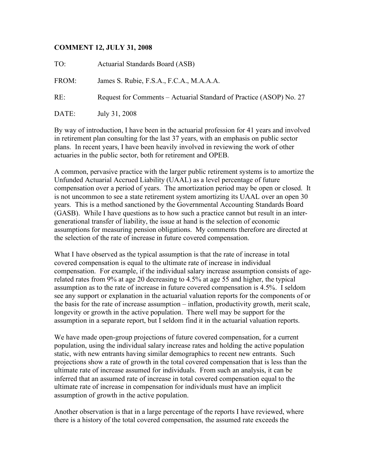## **COMMENT 12, JULY 31, 2008**

TO: Actuarial Standards Board (ASB) FROM: James S. Rubie, F.S.A., F.C.A., M.A.A.A. RE: Request for Comments – Actuarial Standard of Practice (ASOP) No. 27 DATE: July 31, 2008

By way of introduction, I have been in the actuarial profession for 41 years and involved in retirement plan consulting for the last 37 years, with an emphasis on public sector plans. In recent years, I have been heavily involved in reviewing the work of other actuaries in the public sector, both for retirement and OPEB.

A common, pervasive practice with the larger public retirement systems is to amortize the Unfunded Actuarial Accrued Liability (UAAL) as a level percentage of future compensation over a period of years. The amortization period may be open or closed. It is not uncommon to see a state retirement system amortizing its UAAL over an open 30 years. This is a method sanctioned by the Governmental Accounting Standards Board (GASB). While I have questions as to how such a practice cannot but result in an intergenerational transfer of liability, the issue at hand is the selection of economic assumptions for measuring pension obligations. My comments therefore are directed at the selection of the rate of increase in future covered compensation.

What I have observed as the typical assumption is that the rate of increase in total covered compensation is equal to the ultimate rate of increase in individual compensation. For example, if the individual salary increase assumption consists of agerelated rates from 9% at age 20 decreasing to 4.5% at age 55 and higher, the typical assumption as to the rate of increase in future covered compensation is 4.5%. I seldom see any support or explanation in the actuarial valuation reports for the components of or the basis for the rate of increase assumption – inflation, productivity growth, merit scale, longevity or growth in the active population. There well may be support for the assumption in a separate report, but I seldom find it in the actuarial valuation reports.

We have made open-group projections of future covered compensation, for a current population, using the individual salary increase rates and holding the active population static, with new entrants having similar demographics to recent new entrants. Such projections show a rate of growth in the total covered compensation that is less than the ultimate rate of increase assumed for individuals. From such an analysis, it can be inferred that an assumed rate of increase in total covered compensation equal to the ultimate rate of increase in compensation for individuals must have an implicit assumption of growth in the active population.

Another observation is that in a large percentage of the reports I have reviewed, where there is a history of the total covered compensation, the assumed rate exceeds the